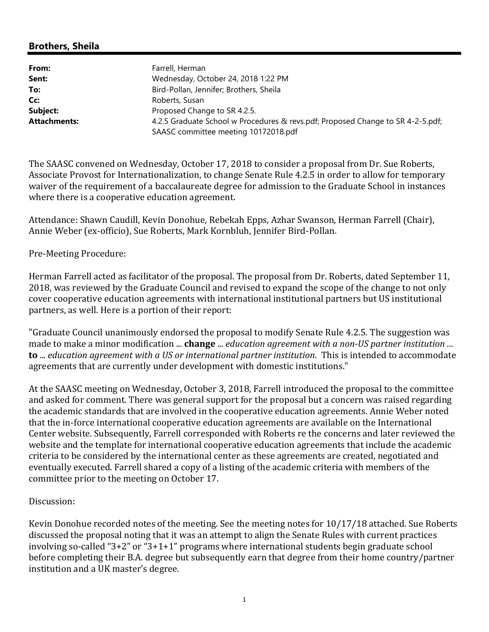# **Brothers, Sheila**

| From:               | Farrell, Herman                                                                 |
|---------------------|---------------------------------------------------------------------------------|
| Sent:               | Wednesday, October 24, 2018 1:22 PM                                             |
| To:                 | Bird-Pollan, Jennifer; Brothers, Sheila                                         |
| Cc:                 | Roberts, Susan                                                                  |
| Subject:            | Proposed Change to SR 4.2.5.                                                    |
| <b>Attachments:</b> | 4.2.5 Graduate School w Procedures & revs.pdf; Proposed Change to SR 4-2-5.pdf; |
|                     | SAASC committee meeting 10172018.pdf                                            |

The SAASC convened on Wednesday, October 17, 2018 to consider a proposal from Dr. Sue Roberts, Associate Provost for Internationalization, to change Senate Rule 4.2.5 in order to allow for temporary waiver of the requirement of a baccalaureate degree for admission to the Graduate School in instances where there is a cooperative education agreement.

Attendance: Shawn Caudill, Kevin Donohue, Rebekah Epps, Azhar Swanson, Herman Farrell (Chair), Annie Weber (ex-officio), Sue Roberts, Mark Kornbluh, Jennifer Bird-Pollan.

## Pre-Meeting Procedure:

Herman Farrell acted as facilitator of the proposal. The proposal from Dr. Roberts, dated September 11, 2018, was reviewed by the Graduate Council and revised to expand the scope of the change to not only cover cooperative education agreements with international institutional partners but US institutional partners, as well. Here is a portion of their report:

"Graduate Council unanimously endorsed the proposal to modify Senate Rule 4.2.5. The suggestion was made to make a minor modification ... **change** ... *education agreement with a non‐US partner institution* ... **to** ... *education agreement with a US or international partner institution*. This is intended to accommodate agreements that are currently under development with domestic institutions."

At the SAASC meeting on Wednesday, October 3, 2018, Farrell introduced the proposal to the committee and asked for comment. There was general support for the proposal but a concern was raised regarding the academic standards that are involved in the cooperative education agreements. Annie Weber noted that the in-force international cooperative education agreements are available on the International Center website. Subsequently, Farrell corresponded with Roberts re the concerns and later reviewed the website and the template for international cooperative education agreements that include the academic criteria to be considered by the international center as these agreements are created, negotiated and eventually executed. Farrell shared a copy of a listing of the academic criteria with members of the committee prior to the meeting on October 17.

### Discussion:

Kevin Donohue recorded notes of the meeting. See the meeting notes for 10/17/18 attached. Sue Roberts discussed the proposal noting that it was an attempt to align the Senate Rules with current practices involving so-called "3+2" or "3+1+1" programs where international students begin graduate school before completing their B.A. degree but subsequently earn that degree from their home country/partner institution and a UK master's degree.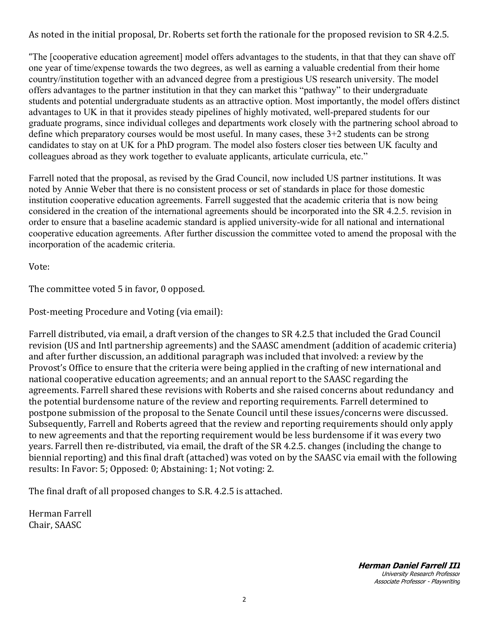As noted in the initial proposal, Dr. Roberts set forth the rationale for the proposed revision to SR 4.2.5.

"The [cooperative education agreement] model offers advantages to the students, in that that they can shave off one year of time/expense towards the two degrees, as well as earning a valuable credential from their home country/institution together with an advanced degree from a prestigious US research university. The model offers advantages to the partner institution in that they can market this "pathway" to their undergraduate students and potential undergraduate students as an attractive option. Most importantly, the model offers distinct advantages to UK in that it provides steady pipelines of highly motivated, well-prepared students for our graduate programs, since individual colleges and departments work closely with the partnering school abroad to define which preparatory courses would be most useful. In many cases, these 3+2 students can be strong candidates to stay on at UK for a PhD program. The model also fosters closer ties between UK faculty and colleagues abroad as they work together to evaluate applicants, articulate curricula, etc."

Farrell noted that the proposal, as revised by the Grad Council, now included US partner institutions. It was noted by Annie Weber that there is no consistent process or set of standards in place for those domestic institution cooperative education agreements. Farrell suggested that the academic criteria that is now being considered in the creation of the international agreements should be incorporated into the SR 4.2.5. revision in order to ensure that a baseline academic standard is applied university-wide for all national and international cooperative education agreements. After further discussion the committee voted to amend the proposal with the incorporation of the academic criteria.

Vote:

The committee voted 5 in favor, 0 opposed.

Post-meeting Procedure and Voting (via email):

Farrell distributed, via email, a draft version of the changes to SR 4.2.5 that included the Grad Council revision (US and Intl partnership agreements) and the SAASC amendment (addition of academic criteria) and after further discussion, an additional paragraph was included that involved: a review by the Provost's Office to ensure that the criteria were being applied in the crafting of new international and national cooperative education agreements; and an annual report to the SAASC regarding the agreements. Farrell shared these revisions with Roberts and she raised concerns about redundancy and the potential burdensome nature of the review and reporting requirements. Farrell determined to postpone submission of the proposal to the Senate Council until these issues/concerns were discussed. Subsequently, Farrell and Roberts agreed that the review and reporting requirements should only apply to new agreements and that the reporting requirement would be less burdensome if it was every two years. Farrell then re-distributed, via email, the draft of the SR 4.2.5. changes (including the change to biennial reporting) and this final draft (attached) was voted on by the SAASC via email with the following results: In Favor: 5; Opposed: 0; Abstaining: 1; Not voting: 2.

The final draft of all proposed changes to S.R. 4.2.5 is attached.

Herman Farrell Chair, SAASC

> **Herman Daniel Farrell III** University Research Professor Associate Professor - Playwriting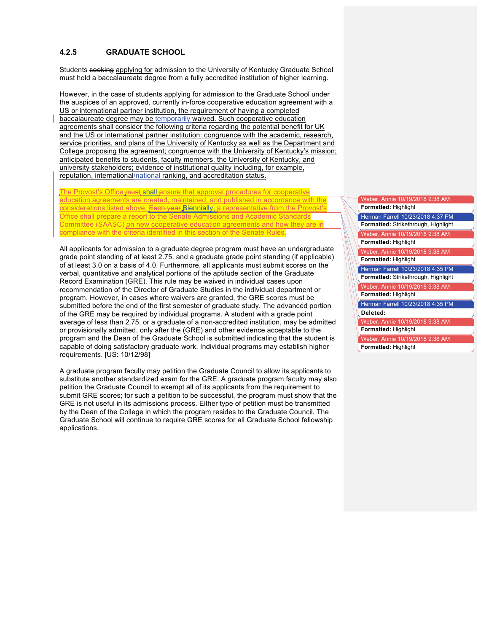#### **4.2.5 GRADUATE SCHOOL**

Students seeking applying for admission to the University of Kentucky Graduate School must hold a baccalaureate degree from a fully accredited institution of higher learning.

However, in the case of students applying for admission to the Graduate School under the auspices of an approved, currently in-force cooperative education agreement with a US or international partner institution, the requirement of having a completed baccalaureate degree may be temporarily waived. Such cooperative education agreements shall consider the following criteria regarding the potential benefit for UK and the US or international partner institution: congruence with the academic, research, service priorities, and plans of the University of Kentucky as well as the Department and College proposing the agreement; congruence with the University of Kentucky's mission; anticipated benefits to students, faculty members, the University of Kentucky, and university stakeholders; evidence of institutional quality including, for example, reputation, international/national ranking, and accreditation status.

The Provost's Office must shall ensure that approval procedures for cooperative education agreements are created, maintained, and published in accordance with the considerations listed above. Each year Biennially, a representative from the Provost's Office shall prepare a report to the Senate Admissions and Academic Standards Committee (SAASC) on new cooperative education agreements and how they are in compliance with the criteria identified in this section of the Senate Rules.

All applicants for admission to a graduate degree program must have an undergraduate grade point standing of at least 2.75, and a graduate grade point standing (if applicable) of at least 3.0 on a basis of 4.0. Furthermore, all applicants must submit scores on the verbal, quantitative and analytical portions of the aptitude section of the Graduate Record Examination (GRE). This rule may be waived in individual cases upon recommendation of the Director of Graduate Studies in the individual department or program. However, in cases where waivers are granted, the GRE scores must be submitted before the end of the first semester of graduate study. The advanced portion of the GRE may be required by individual programs. A student with a grade point average of less than 2.75, or a graduate of a non-accredited institution, may be admitted or provisionally admitted, only after the (GRE) and other evidence acceptable to the program and the Dean of the Graduate School is submitted indicating that the student is capable of doing satisfactory graduate work. Individual programs may establish higher requirements. [US: 10/12/98]

A graduate program faculty may petition the Graduate Council to allow its applicants to substitute another standardized exam for the GRE. A graduate program faculty may also petition the Graduate Council to exempt all of its applicants from the requirement to submit GRE scores; for such a petition to be successful, the program must show that the GRE is not useful in its admissions process. Either type of petition must be transmitted by the Dean of the College in which the program resides to the Graduate Council. The Graduate School will continue to require GRE scores for all Graduate School fellowship applications.

| Weber, Annie 10/19/2018 9:38 AM     |
|-------------------------------------|
| Formatted: Highlight                |
| Herman Farrell 10/23/2018 4:37 PM   |
| Formatted: Strikethrough, Highlight |
| Weber, Annie 10/19/2018 9:38 AM     |
| Formatted: Highlight                |
| Weber, Annie 10/19/2018 9:38 AM     |
| Formatted: Highlight                |
| Herman Farrell 10/23/2018 4:35 PM   |
| Formatted: Strikethrough, Highlight |
| Weber, Annie 10/19/2018 9:38 AM     |
| Formatted: Highlight                |
| Herman Farrell 10/23/2018 4:35 PM   |
| Deleted:                            |
| Weber, Annie 10/19/2018 9:38 AM     |
| Formatted: Highlight                |
| Weber, Annie 10/19/2018 9:38 AM     |
| Formatted: Highlight                |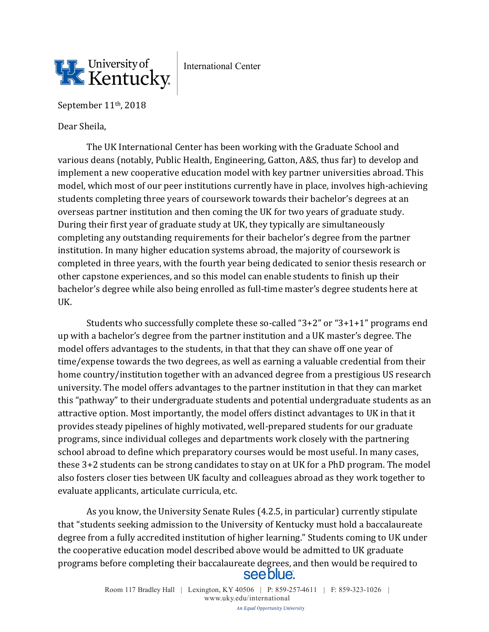

International Center

September 11<sup>th</sup>, 2018

Dear Sheila.

The UK International Center has been working with the Graduate School and various deans (notably, Public Health, Engineering, Gatton, A&S, thus far) to develop and implement a new cooperative education model with key partner universities abroad. This model, which most of our peer institutions currently have in place, involves high-achieving students completing three years of coursework towards their bachelor's degrees at an overseas partner institution and then coming the UK for two years of graduate study. During their first year of graduate study at UK, they typically are simultaneously completing any outstanding requirements for their bachelor's degree from the partner institution. In many higher education systems abroad, the majority of coursework is completed in three years, with the fourth year being dedicated to senior thesis research or other capstone experiences, and so this model can enable students to finish up their bachelor's degree while also being enrolled as full-time master's degree students here at UK. 

Students who successfully complete these so-called "3+2" or "3+1+1" programs end up with a bachelor's degree from the partner institution and a UK master's degree. The model offers advantages to the students, in that that they can shave off one year of time/expense towards the two degrees, as well as earning a valuable credential from their home country/institution together with an advanced degree from a prestigious US research university. The model offers advantages to the partner institution in that they can market this "pathway" to their undergraduate students and potential undergraduate students as an attractive option. Most importantly, the model offers distinct advantages to UK in that it provides steady pipelines of highly motivated, well-prepared students for our graduate programs, since individual colleges and departments work closely with the partnering school abroad to define which preparatory courses would be most useful. In many cases, these  $3+2$  students can be strong candidates to stay on at UK for a PhD program. The model also fosters closer ties between UK faculty and colleagues abroad as they work together to evaluate applicants, articulate curricula, etc.

As you know, the University Senate Rules (4.2.5, in particular) currently stipulate that "students seeking admission to the University of Kentucky must hold a baccalaureate degree from a fully accredited institution of higher learning." Students coming to UK under the cooperative education model described above would be admitted to UK graduate programs before completing their baccalaureate degrees, and then would be required to see blue.

> Room 117 Bradley Hall | Lexington, KY 40506 | P: 859-257-4611 | F: 859-323-1026 | www.uky.edu/international An Equal Opportunity University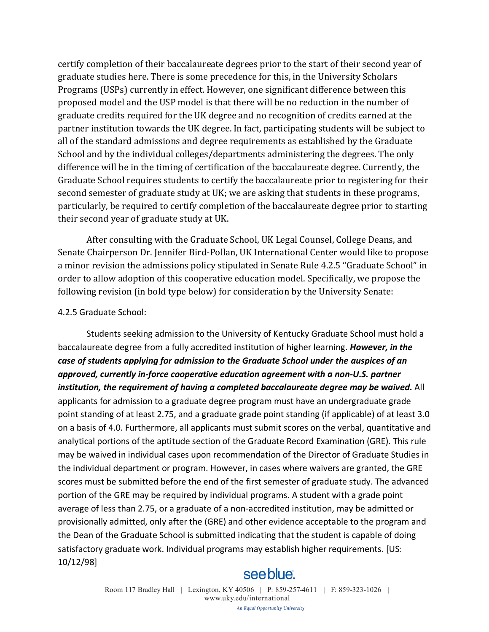certify completion of their baccalaureate degrees prior to the start of their second year of graduate studies here. There is some precedence for this, in the University Scholars Programs (USPs) currently in effect. However, one significant difference between this proposed model and the USP model is that there will be no reduction in the number of graduate credits required for the UK degree and no recognition of credits earned at the partner institution towards the UK degree. In fact, participating students will be subject to all of the standard admissions and degree requirements as established by the Graduate School and by the individual colleges/departments administering the degrees. The only difference will be in the timing of certification of the baccalaureate degree. Currently, the Graduate School requires students to certify the baccalaureate prior to registering for their second semester of graduate study at UK; we are asking that students in these programs, particularly, be required to certify completion of the baccalaureate degree prior to starting their second year of graduate study at UK.

After consulting with the Graduate School, UK Legal Counsel, College Deans, and Senate Chairperson Dr. Jennifer Bird-Pollan, UK International Center would like to propose a minor revision the admissions policy stipulated in Senate Rule 4.2.5 "Graduate School" in order to allow adoption of this cooperative education model. Specifically, we propose the following revision (in bold type below) for consideration by the University Senate:

#### 4.2.5 Graduate School:

Students seeking admission to the University of Kentucky Graduate School must hold a baccalaureate degree from a fully accredited institution of higher learning. *However, in the case of students applying for admission to the Graduate School under the auspices of an approved, currently in-force cooperative education agreement with a non-U.S. partner institution, the requirement of having a completed baccalaureate degree may be waived.* All applicants for admission to a graduate degree program must have an undergraduate grade point standing of at least 2.75, and a graduate grade point standing (if applicable) of at least 3.0 on a basis of 4.0. Furthermore, all applicants must submit scores on the verbal, quantitative and analytical portions of the aptitude section of the Graduate Record Examination (GRE). This rule may be waived in individual cases upon recommendation of the Director of Graduate Studies in the individual department or program. However, in cases where waivers are granted, the GRE scores must be submitted before the end of the first semester of graduate study. The advanced portion of the GRE may be required by individual programs. A student with a grade point average of less than 2.75, or a graduate of a non-accredited institution, may be admitted or provisionally admitted, only after the (GRE) and other evidence acceptable to the program and the Dean of the Graduate School is submitted indicating that the student is capable of doing satisfactory graduate work. Individual programs may establish higher requirements. [US: 10/12/98]

# see blue.

Room 117 Bradley Hall | Lexington, KY 40506 | P: 859-257-4611 | F: 859-323-1026 | www.uky.edu/international An Equal Opportunity University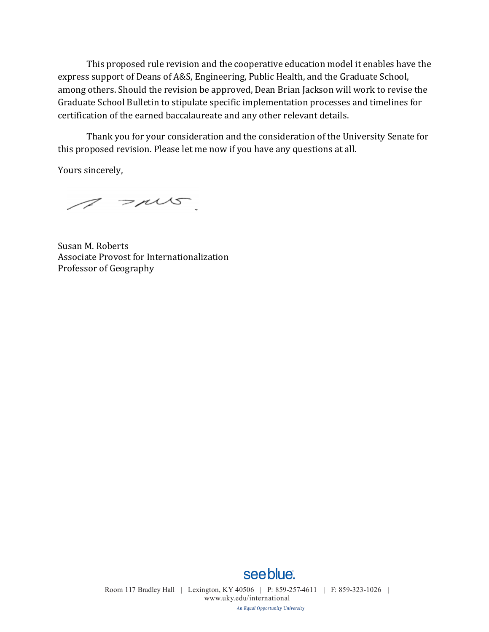This proposed rule revision and the cooperative education model it enables have the express support of Deans of A&S, Engineering, Public Health, and the Graduate School, among others. Should the revision be approved, Dean Brian Jackson will work to revise the Graduate School Bulletin to stipulate specific implementation processes and timelines for certification of the earned baccalaureate and any other relevant details.

Thank you for your consideration and the consideration of the University Senate for this proposed revision. Please let me now if you have any questions at all.

Yours sincerely,

 $\pi$  =  $\mu\sigma$ 

Susan M. Roberts Associate Provost for Internationalization Professor of Geography



Room 117 Bradley Hall | Lexington, KY 40506 | P: 859-257-4611 | F: 859-323-1026 | www.uky.edu/international

An Equal Opportunity University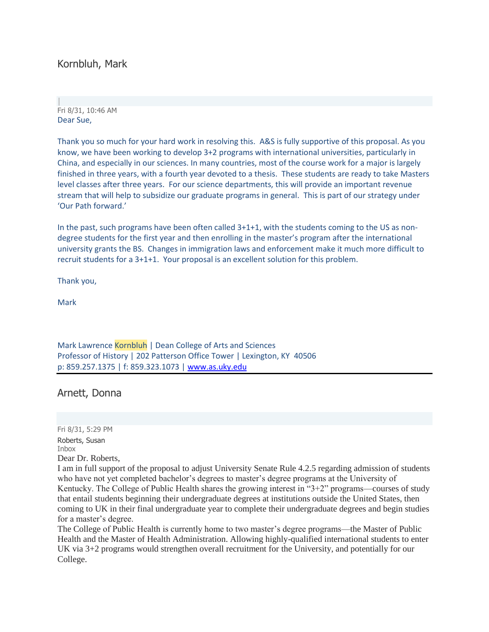## Kornbluh, Mark

| Fri 8/31, 10:46 AM Dear Sue,

Thank you so much for your hard work in resolving this. A&S is fully supportive of this proposal. As you know, we have been working to develop 3+2 programs with international universities, particularly in China, and especially in our sciences. In many countries, most of the course work for a major is largely finished in three years, with a fourth year devoted to a thesis. These students are ready to take Masters level classes after three years. For our science departments, this will provide an important revenue stream that will help to subsidize our graduate programs in general. This is part of our strategy under 'Our Path forward.'

In the past, such programs have been often called 3+1+1, with the students coming to the US as nondegree students for the first year and then enrolling in the master's program after the international university grants the BS. Changes in immigration laws and enforcement make it much more difficult to recruit students for a 3+1+1. Your proposal is an excellent solution for this problem.

Thank you,

**Mark** 

Mark Lawrence Kornbluh | Dean College of Arts and Sciences Professor of History | 202 Patterson Office Tower | Lexington, KY 40506 p: 859.257.1375 | f: 859.323.1073 | [www.as.uky.edu](https://na01.safelinks.protection.outlook.com/?url=http%3A%2F%2Fwww.as.uky.edu&data=02%7C01%7C%7Ce924cf20658a470dc61a08d60f50962f%7C2b30530b69b64457b818481cb53d42ae%7C0%7C0%7C636713236111778057&sdata=aTQ3EJPyfDLJJwMn0BxRdnCnIFswBf3%2FT2mg%2FXX2TxI%3D&reserved=0)

Arnett, Donna

Fri 8/31, 5:29 PM Roberts, Susan Inbox Dear Dr. Roberts,

I am in full support of the proposal to adjust University Senate Rule 4.2.5 regarding admission of students who have not yet completed bachelor's degrees to master's degree programs at the University of Kentucky. The College of Public Health shares the growing interest in "3+2" programs—courses of study that entail students beginning their undergraduate degrees at institutions outside the United States, then coming to UK in their final undergraduate year to complete their undergraduate degrees and begin studies for a master's degree.

The College of Public Health is currently home to two master's degree programs—the Master of Public Health and the Master of Health Administration. Allowing highly-qualified international students to enter UK via 3+2 programs would strengthen overall recruitment for the University, and potentially for our College.